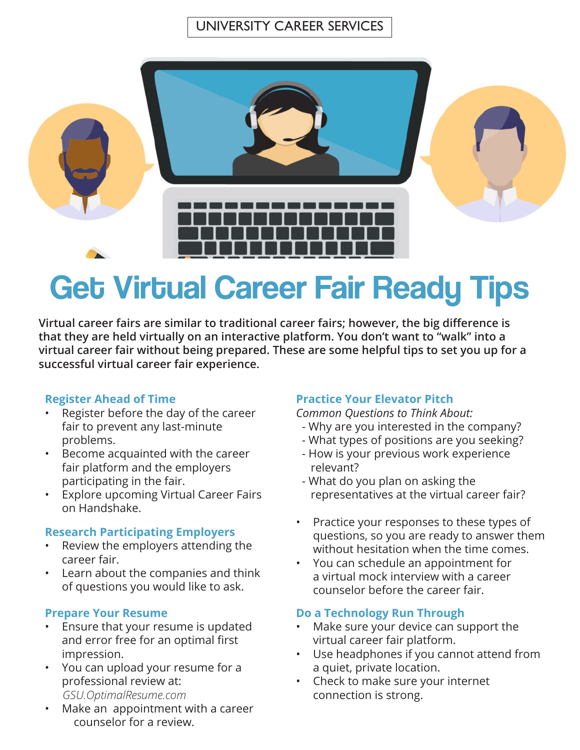## UNIVERSITY CAREER SERVICES



# **Get Virtual Career Fair Ready Tips**

**Virtual career fairs are similar to traditional career fairs; however, the big difference is that they are held virtually on an interactive platform. You don't want to "walk" into a virtual career fair without being prepared. These are some helpful tips to set you up for a successful virtual career fair experience.** 

#### **Register Ahead of Time**

- Register before the day of the career fair to prevent any last-minute problems.
- Become acquainted with the career fair platform and the employers participating in the fair.
- Explore upcoming Virtual Career Fairs on Handshake.

#### **Research Participating Employers**

- Review the employers attending the career fair.
- Learn about the companies and think of questions you would like to ask.

#### **Prepare Your Resume**

- Ensure that your resume is updated and error free for an optimal first impression.
- You can upload your resume for a professional review at:  *GSU.OptimalResume.com*
- Make an appointment with a career counselor for a review.

### **Practice Your Elevator Pitch**

*Common Questions to Think About:* 

- Why are you interested in the company?
- What types of positions are you seeking?
- How is your previous work experience relevant?
- What do you plan on asking the representatives at the virtual career fair?
- Practice your responses to these types of questions, so you are ready to answer them without hesitation when the time comes.
- You can schedule an appointment for a virtual mock interview with a career counselor before the career fair.

#### **Do a Technology Run Through**

- Make sure your device can support the virtual career fair platform.
- Use headphones if you cannot attend from a quiet, private location.
- Check to make sure your internet connection is strong.